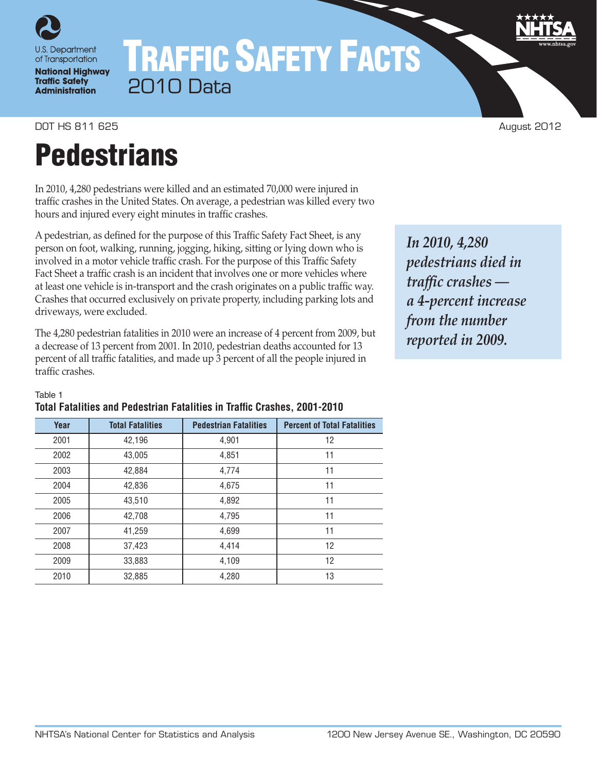

# TRAFFIC SAFETY FACTS 2010 Data

DOT HS 811 625 August 2012

# **Pedestrians**

In 2010, 4,280 pedestrians were killed and an estimated 70,000 were injured in traffic crashes in the United States. On average, a pedestrian was killed every two hours and injured every eight minutes in traffic crashes.

A pedestrian, as defined for the purpose of this Traffic Safety Fact Sheet, is any person on foot, walking, running, jogging, hiking, sitting or lying down who is involved in a motor vehicle traffic crash. For the purpose of this Traffic Safety Fact Sheet a traffic crash is an incident that involves one or more vehicles where at least one vehicle is in-transport and the crash originates on a public traffic way. Crashes that occurred exclusively on private property, including parking lots and driveways, were excluded.

The 4,280 pedestrian fatalities in 2010 were an increase of 4 percent from 2009, but a decrease of 13 percent from 2001. In 2010, pedestrian deaths accounted for 13 percent of all traffic fatalities, and made up 3 percent of all the people injured in traffic crashes.

*In 2010, 4,280 pedestrians died in traffic crashes a 4-percent increase from the number reported in 2009.*

## Table 1

| Year | <b>Total Fatalities</b> | <b>Pedestrian Fatalities</b> | <b>Percent of Total Fatalities</b> |
|------|-------------------------|------------------------------|------------------------------------|
| 2001 | 42,196                  | 4,901                        | 12                                 |
| 2002 | 43,005                  | 4,851                        | 11                                 |
| 2003 | 42,884                  | 4,774                        | 11                                 |
| 2004 | 42,836                  | 4,675                        | 11                                 |
| 2005 | 43,510                  | 4,892                        | 11                                 |
| 2006 | 42,708                  | 4,795                        | 11                                 |
| 2007 | 41.259                  | 4,699                        | 11                                 |
| 2008 | 37,423                  | 4,414                        | 12                                 |
| 2009 | 33,883                  | 4,109                        | 12                                 |
| 2010 | 32,885                  | 4,280                        | 13                                 |

# **Total Fatalities and Pedestrian Fatalities in Traffic Crashes, 2001-2010**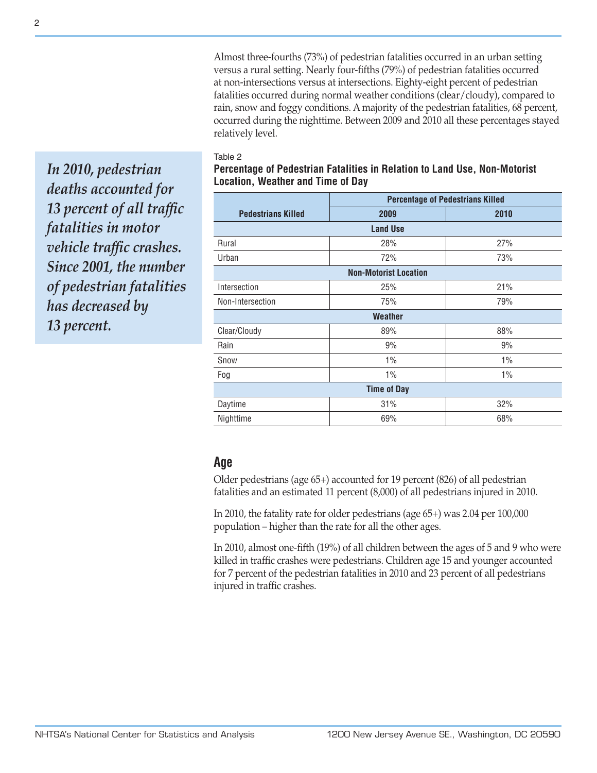Almost three-fourths (73%) of pedestrian fatalities occurred in an urban setting versus a rural setting. Nearly four-fifths (79%) of pedestrian fatalities occurred at non-intersections versus at intersections. Eighty-eight percent of pedestrian fatalities occurred during normal weather conditions (clear/cloudy), compared to rain, snow and foggy conditions. A majority of the pedestrian fatalities, 68 percent, occurred during the nighttime. Between 2009 and 2010 all these percentages stayed relatively level.

#### Table 2

*In 2010, pedestrian deaths accounted for 13 percent of all traffic fatalities in motor vehicle traffic crashes. Since 2001, the number of pedestrian fatalities has decreased by 13 percent.*

## **Percentage of Pedestrian Fatalities in Relation to Land Use, Non-Motorist Location, Weather and Time of Day**

|                           | <b>Percentage of Pedestrians Killed</b> |       |  |  |  |  |
|---------------------------|-----------------------------------------|-------|--|--|--|--|
| <b>Pedestrians Killed</b> | 2009                                    | 2010  |  |  |  |  |
|                           | <b>Land Use</b>                         |       |  |  |  |  |
| Rural                     | 28%                                     | 27%   |  |  |  |  |
| Urban                     | 72%                                     | 73%   |  |  |  |  |
|                           | <b>Non-Motorist Location</b>            |       |  |  |  |  |
| Intersection              | 25%                                     | 21%   |  |  |  |  |
| Non-Intersection          | 75%                                     | 79%   |  |  |  |  |
|                           | <b>Weather</b>                          |       |  |  |  |  |
| Clear/Cloudy              | 89%                                     | 88%   |  |  |  |  |
| Rain                      | 9%                                      | 9%    |  |  |  |  |
| Snow                      | 1%                                      | $1\%$ |  |  |  |  |
| Fog                       | $1\%$                                   | $1\%$ |  |  |  |  |
|                           | <b>Time of Day</b>                      |       |  |  |  |  |
| Daytime                   | 31%                                     | 32%   |  |  |  |  |
| Nighttime                 | 69%                                     | 68%   |  |  |  |  |

## **Age**

Older pedestrians (age 65+) accounted for 19 percent (826) of all pedestrian fatalities and an estimated 11 percent (8,000) of all pedestrians injured in 2010.

In 2010, the fatality rate for older pedestrians (age 65+) was 2.04 per 100,000 population – higher than the rate for all the other ages.

In 2010, almost one-fifth (19%) of all children between the ages of 5 and 9 who were killed in traffic crashes were pedestrians. Children age 15 and younger accounted for 7 percent of the pedestrian fatalities in 2010 and 23 percent of all pedestrians injured in traffic crashes.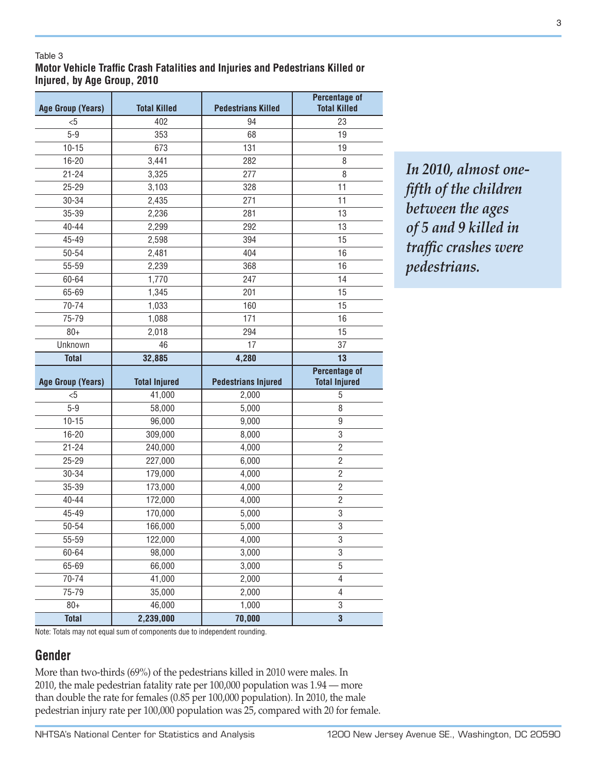### Table 3

## **Motor Vehicle Traffic Crash Fatalities and Injuries and Pedestrians Killed or Injured, by Age Group, 2010**

| <b>Age Group (Years)</b> | <b>Total Killed</b>  | <b>Pedestrians Killed</b>  | <b>Percentage of</b><br><b>Total Killed</b>  |
|--------------------------|----------------------|----------------------------|----------------------------------------------|
| $5$                      | 402                  | 94                         | 23                                           |
| $5 - 9$                  | 353                  | 68                         | 19                                           |
| $10 - 15$                | 673                  | 131                        | 19                                           |
| 16-20                    | 3,441                | 282                        | 8                                            |
| $21 - 24$                | 3,325                | 277                        | 8                                            |
| $25 - 29$                | 3,103                | 328                        | 11                                           |
| 30-34                    | 2,435                | 271                        | 11                                           |
| 35-39                    | 2,236                | 281                        | 13                                           |
| 40-44                    | 2,299                | 292                        | 13                                           |
| 45-49                    | 2,598                | 394                        | 15                                           |
| 50-54                    | 2,481                | 404                        | 16                                           |
| 55-59                    | 2,239                | 368                        | 16                                           |
| 60-64                    | 1,770                | 247                        | 14                                           |
| 65-69                    | 1,345                | 201                        | 15                                           |
| 70-74                    | 1,033                | 160                        | 15                                           |
| 75-79                    | 1,088                | 171                        | 16                                           |
| $80+$                    | 2,018                | 294                        | 15                                           |
| Unknown                  | 46                   | 17                         | 37                                           |
| <b>Total</b>             | 32,885               | 4,280                      | 13                                           |
|                          |                      |                            |                                              |
| <b>Age Group (Years)</b> | <b>Total Injured</b> | <b>Pedestrians Injured</b> | <b>Percentage of</b><br><b>Total Injured</b> |
| &5                       | 41,000               | 2,000                      | $\sqrt{5}$                                   |
| $5 - 9$                  | 58,000               | 5,000                      | 8                                            |
| $10 - 15$                | 96,000               | 9,000                      | 9                                            |
| 16-20                    | 309,000              | 8,000                      | 3                                            |
| $21 - 24$                | 240,000              | 4,000                      | $\overline{2}$                               |
| $25 - 29$                | 227,000              | 6,000                      | $\mathbf{2}$                                 |
| 30-34                    | 179,000              | 4,000                      | $\mathbf{2}$                                 |
| 35-39                    | 173,000              | 4,000                      | $\overline{c}$                               |
| $40 - 44$                | 172,000              | 4,000                      | $\overline{2}$                               |
| 45-49                    | 170,000              | 5,000                      | 3                                            |
| 50-54                    | 166,000              | 5,000                      | $\overline{3}$                               |
| 55-59                    | 122,000              | 4,000                      | 3                                            |
| 60-64                    | 98,000               | 3,000                      | 3                                            |
| 65-69                    | 66,000               | 3,000                      | $5\,$                                        |
| 70-74                    | 41,000               | 2,000                      | $\overline{4}$                               |
| 75-79                    | 35,000               | 2,000                      | 4                                            |
| $80+$                    | 46,000               | 1,000                      | 3                                            |

*In 2010, almost onefifth of the children between the ages of 5 and 9 killed in traffic crashes were pedestrians.*

Note: Totals may not equal sum of components due to independent rounding.

## **Gender**

More than two-thirds (69%) of the pedestrians killed in 2010 were males. In 2010, the male pedestrian fatality rate per 100,000 population was 1.94 — more than double the rate for females (0.85 per 100,000 population). In 2010, the male pedestrian injury rate per 100,000 population was 25, compared with 20 for female.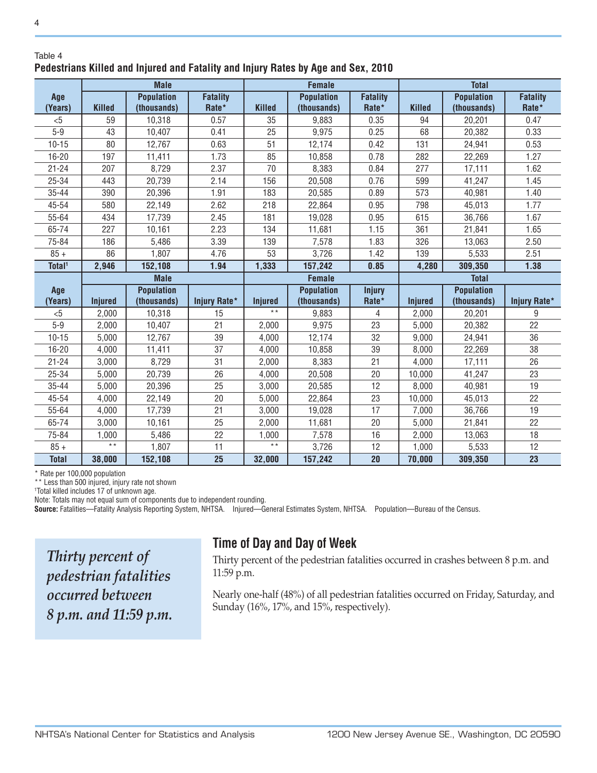### Table 4 **Pedestrians Killed and Injured and Fatality and Injury Rates by Age and Sex, 2010**

|                    | <b>Male</b>    |                   |                 |                | <b>Female</b>     |                 | <b>Total</b>   |                   |                 |
|--------------------|----------------|-------------------|-----------------|----------------|-------------------|-----------------|----------------|-------------------|-----------------|
| Age                |                | <b>Population</b> | <b>Fatality</b> |                | <b>Population</b> | <b>Fatality</b> |                | <b>Population</b> | <b>Fatality</b> |
| (Years)            | Killed         | (thousands)       | Rate*           | <b>Killed</b>  | (thousands)       | Rate*           | <b>Killed</b>  | (thousands)       | Rate*           |
| < 5                | 59             | 10,318            | 0.57            | 35             | 9,883             | 0.35            | 94             | 20,201            | 0.47            |
| $5-9$              | 43             | 10,407            | 0.41            | 25             | 9,975             | 0.25            | 68             | 20,382            | 0.33            |
| $10 - 15$          | 80             | 12,767            | 0.63            | 51             | 12,174            | 0.42            | 131            | 24,941            | 0.53            |
| $16 - 20$          | 197            | 11,411            | 1.73            | 85             | 10,858            | 0.78            | 282            | 22,269            | 1.27            |
| $21 - 24$          | 207            | 8,729             | 2.37            | 70             | 8,383             | 0.84            | 277            | 17,111            | 1.62            |
| 25-34              | 443            | 20,739            | 2.14            | 156            | 20,508            | 0.76            | 599            | 41,247            | 1.45            |
| 35-44              | 390            | 20,396            | 1.91            | 183            | 20,585            | 0.89            | 573            | 40,981            | 1.40            |
| 45-54              | 580            | 22,149            | 2.62            | 218            | 22,864            | 0.95            | 798            | 45,013            | 1.77            |
| 55-64              | 434            | 17,739            | 2.45            | 181            | 19,028            | 0.95            | 615            | 36,766            | 1.67            |
| 65-74              | 227            | 10,161            | 2.23            | 134            | 11,681            | 1.15            | 361            | 21,841            | 1.65            |
| 75-84              | 186            | 5,486             | 3.39            | 139            | 7,578             | 1.83            | 326            | 13,063            | 2.50            |
| $85 +$             | 86             | 1,807             | 4.76            | 53             | 3,726             | 1.42            | 139            | 5,533             | 2.51            |
| Total <sup>1</sup> | 2,946          | 152,108           | 1.94            | 1,333          | 157,242           | 0.85            | 4,280          | 309,350           | 1.38            |
|                    |                | <b>Male</b>       |                 |                | <b>Female</b>     |                 |                | <b>Total</b>      |                 |
| Age                |                | <b>Population</b> |                 |                | <b>Population</b> | <b>Injury</b>   |                | <b>Population</b> |                 |
| (Years)            | <b>Injured</b> | (thousands)       | Injury Rate*    | <b>Injured</b> | (thousands)       | Rate*           | <b>Injured</b> | (thousands)       | Injury Rate*    |
| $<$ 5              | 2,000          | 10,318            | 15              | $\star \star$  | 9,883             | 4               | 2,000          | 20,201            | 9               |
| $5-9$              | 2,000          | 10,407            | 21              | 2,000          | 9,975             | 23              | 5,000          | 20,382            | 22              |
| $10 - 15$          | 5,000          | 12,767            | 39              | 4,000          | 12,174            | 32              | 9,000          | 24,941            | 36              |
| $16 - 20$          | 4,000          | 11,411            | 37              | 4,000          | 10,858            | 39              | 8,000          | 22,269            | 38              |
| $21 - 24$          | 3,000          | 8,729             | 31              | 2,000          | 8,383             | 21              | 4,000          | 17,111            | 26              |
| 25-34              | 5,000          | 20,739            | 26              | 4,000          | 20,508            | 20              | 10,000         | 41,247            | 23              |
| $35 - 44$          | 5,000          | 20,396            | 25              | 3,000          | 20,585            | 12              | 8,000          | 40,981            | 19              |
| 45-54              | 4.000          | 22,149            | 20              | 5,000          | 22,864            | 23              | 10,000         | 45,013            | 22              |
| 55-64              | 4,000          | 17,739            | 21              | 3,000          | 19,028            | 17              | 7,000          | 36,766            | 19              |
| 65-74              | 3,000          | 10,161            | 25              | 2,000          | 11,681            | 20              | 5,000          | 21,841            | 22              |
| 75-84              | 1,000          | 5,486             | 22              | 1,000          | 7,578             | 16              | 2,000          | 13,063            | 18              |
| $85 +$             | $\star \star$  | 1,807             | 11              | $\star \star$  | 3,726             | 12              | 1,000          | 5,533             | 12              |
| <b>Total</b>       | 38,000         | 152,108           | 25              | 32,000         | 157,242           | 20              | 70,000         | 309,350           | 23              |

\* Rate per 100,000 population

\*\* Less than 500 injured, injury rate not shown

1 Total killed includes 17 of unknown age.

Note: Totals may not equal sum of components due to independent rounding.

**Source:** Fatalities—Fatality Analysis Reporting System, NHTSA. Injured—General Estimates System, NHTSA. Population—Bureau of the Census.

*Thirty percent of pedestrian fatalities occurred between 8 p.m. and 11:59 p.m.*

# **Time of Day and Day of Week**

Thirty percent of the pedestrian fatalities occurred in crashes between 8 p.m. and 11:59 p.m.

Nearly one-half (48%) of all pedestrian fatalities occurred on Friday, Saturday, and Sunday (16%, 17%, and 15%, respectively).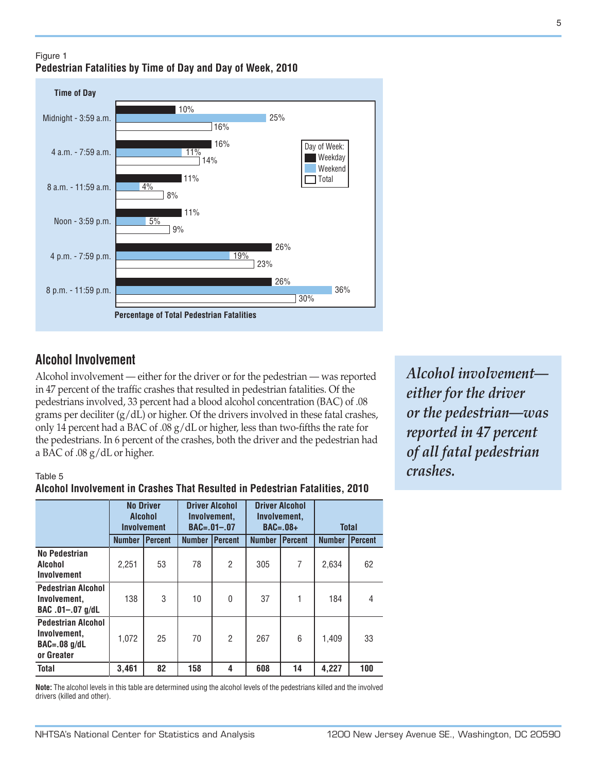## Figure 1 **Pedestrian Fatalities by Time of Day and Day of Week, 2010**

#### Midnight - 3:59 a.m. **Time of Day Percentage of Total Pedestrian Fatalities** 10% 25% 16% 16% 11% 14% 11%  $4%$ 8%  $11%$ 5% 9% 26% 19% 23% ■ 26% 36% 30% 4 a.m. - 7:59 a.m. 8 a.m. - 11:59 a.m. Noon - 3:59 p.m. 4 p.m. - 7:59 p.m. 8 p.m. - 11:59 p.m. Day of Week: Weekend Total Weekday

# **Alcohol Involvement**

Alcohol involvement — either for the driver or for the pedestrian — was reported in 47 percent of the traffic crashes that resulted in pedestrian fatalities. Of the pedestrians involved, 33 percent had a blood alcohol concentration (BAC) of .08 grams per deciliter  $(g/dL)$  or higher. Of the drivers involved in these fatal crashes, only 14 percent had a BAC of .08 g/dL or higher, less than two-fifths the rate for the pedestrians. In 6 percent of the crashes, both the driver and the pedestrian had a BAC of .08 g/dL or higher.

## Table 5

## **Alcohol Involvement in Crashes That Resulted in Pedestrian Fatalities, 2010**

|                                                                             | <b>No Driver</b><br><b>Alcohol</b><br><b>Involvement</b> |                |               | <b>Driver Alcohol</b><br>Involvement,<br>$BAC = .01 - .07$ |               | <b>Driver Alcohol</b><br>Involvement,<br>$BAC=.08+$ | <b>Total</b>  |                |
|-----------------------------------------------------------------------------|----------------------------------------------------------|----------------|---------------|------------------------------------------------------------|---------------|-----------------------------------------------------|---------------|----------------|
|                                                                             | <b>Number</b>                                            | <b>Percent</b> | <b>Number</b> | Percent                                                    | <b>Number</b> | <b>I</b> Percent                                    | <b>Number</b> | <b>Percent</b> |
| No Pedestrian<br>Alcohol<br>Involvement                                     | 2,251                                                    | 53             | 78            | $\overline{c}$                                             | 305           | 7                                                   | 2,634         | 62             |
| <b>Pedestrian Alcohol</b><br>Involvement.<br>BAC .01-.07 g/dL               | 138                                                      | 3              | 10            | 0                                                          | 37            |                                                     | 184           | 4              |
| <b>Pedestrian Alcohol</b><br>Involvement.<br>$BAC = .08$ g/dL<br>or Greater | 1,072                                                    | 25             | 70            | $\overline{2}$                                             | 267           | 6                                                   | 1.409         | 33             |
| <b>Total</b>                                                                | 3,461                                                    | 82             | 158           | 4                                                          | 608           | 14                                                  | 4,227         | 100            |

**Note:** The alcohol levels in this table are determined using the alcohol levels of the pedestrians killed and the involved drivers (killed and other).

*Alcohol involvement either for the driver or the pedestrian—was reported in 47 percent of all fatal pedestrian crashes.*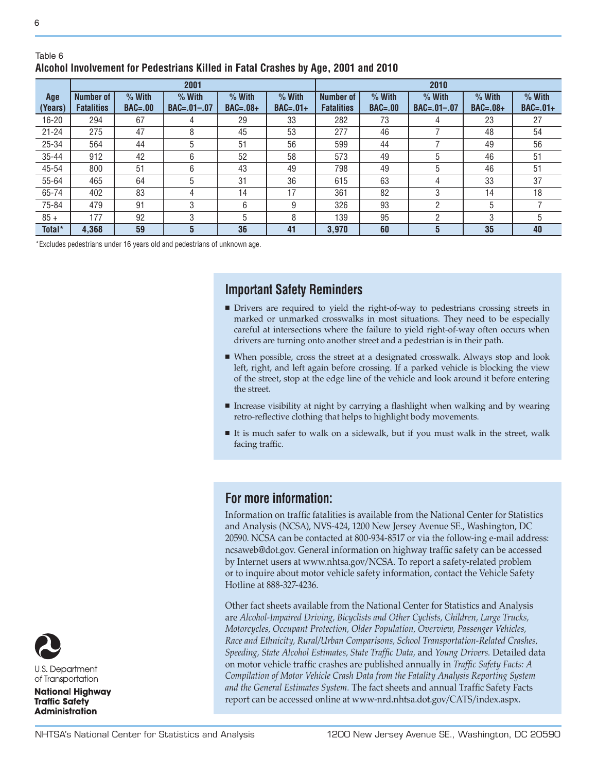### Table 6 **Alcohol Involvement for Pedestrians Killed in Fatal Crashes by Age, 2001 and 2010**

|           | 2001              |             |                   |            |            |                   |             | 2010              |            |            |
|-----------|-------------------|-------------|-------------------|------------|------------|-------------------|-------------|-------------------|------------|------------|
| Age       | Number of         | $%$ With    | $%$ With          | $%$ With   | $%$ With   | Number of         | $%$ With    | $%$ With          | $%$ With   | $%$ With   |
| (Years)   | <b>Fatalities</b> | $BAC = .00$ | $BAC = .01 - .07$ | $BAC=.08+$ | $BAC=.01+$ | <b>Fatalities</b> | $BAC = .00$ | $BAC = .01 - .07$ | $BAC=.08+$ | $BAC=.01+$ |
| 16-20     | 294               | 67          | 4                 | 29         | 33         | 282               | 73          | 4                 | 23         | 27         |
| $21 - 24$ | 275               | 47          | 8                 | 45         | 53         | 277               | 46          |                   | 48         | 54         |
| $25 - 34$ | 564               | 44          | 5                 | 51         | 56         | 599               | 44          |                   | 49         | 56         |
| $35 - 44$ | 912               | 42          | 6                 | 52         | 58         | 573               | 49          | 5                 | 46         | 51         |
| 45-54     | 800               | 51          | 6                 | 43         | 49         | 798               | 49          | 5                 | 46         | 51         |
| 55-64     | 465               | 64          | 5                 | 31         | 36         | 615               | 63          | 4                 | 33         | 37         |
| 65-74     | 402               | 83          | 4                 | 14         | 17         | 361               | 82          | 3                 | 14         | 18         |
| 75-84     | 479               | 91          | 3                 | 6          | 9          | 326               | 93          | ŋ                 | 5          |            |
| $85 +$    | 177               | 92          | 3                 | 5          | 8          | 139               | 95          | റ                 | 3          | 5          |
| Total*    | 4,368             | 59          | 5                 | 36         | 41         | 3.970             | 60          | 5                 | 35         | 40         |

\*Excludes pedestrians under 16 years old and pedestrians of unknown age.

# **Important Safety Reminders**

- <sup>n</sup> Drivers are required to yield the right-of-way to pedestrians crossing streets in marked or unmarked crosswalks in most situations. They need to be especially careful at intersections where the failure to yield right-of-way often occurs when drivers are turning onto another street and a pedestrian is in their path.
- <sup>n</sup> When possible, cross the street at a designated crosswalk. Always stop and look left, right, and left again before crossing. If a parked vehicle is blocking the view of the street, stop at the edge line of the vehicle and look around it before entering the street.
- <sup>n</sup> Increase visibility at night by carrying a flashlight when walking and by wearing retro-reflective clothing that helps to highlight body movements.
- <sup>n</sup> It is much safer to walk on a sidewalk, but if you must walk in the street, walk facing traffic.

## **For more information:**

Information on traffic fatalities is available from the National Center for Statistics and Analysis (NCSA), NVS-424, 1200 New Jersey Avenue SE., Washington, DC 20590. NCSA can be contacted at 800-934-8517 or via the follow-ing e-mail address: ncsaweb@dot.gov. General information on highway traffic safety can be accessed by Internet users at www.nhtsa.gov/NCSA. To report a safety-related problem or to inquire about motor vehicle safety information, contact the Vehicle Safety Hotline at 888-327-4236.

Other fact sheets available from the National Center for Statistics and Analysis are *Alcohol-Impaired Driving, Bicyclists and Other Cyclists, Children, Large Trucks, Motorcycles, Occupant Protection, Older Population, Overview, Passenger Vehicles, Race and Ethnicity, Rural/Urban Comparisons, School Transportation-Related Crashes, Speeding, State Alcohol Estimates, State Traffic Data,* and *Young Drivers.* Detailed data on motor vehicle traffic crashes are published annually in *Traffic Safety Facts: A Compilation of Motor Vehicle Crash Data from the Fatality Analysis Reporting System and the General Estimates System.* The fact sheets and annual Traffic Safety Facts report can be accessed online at www-nrd.nhtsa.dot.gov/CATS/index.aspx.

U.S. Department of Transportation

**National Highway Traffic Safety Administration**